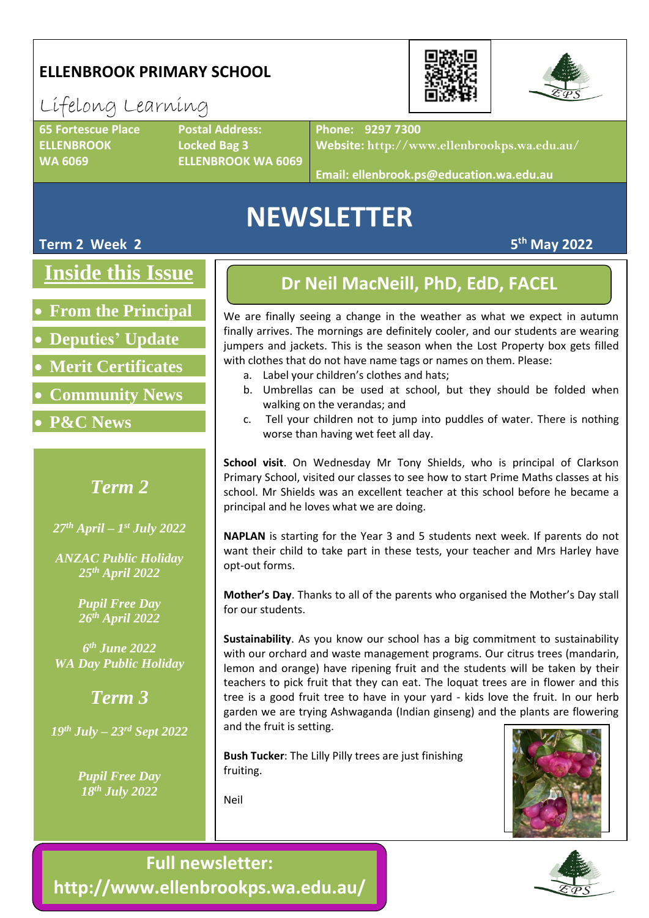## **ELLENBROOK PRIMARY SCHOOL**

## Lifelong Learning

**65 Fortescue Place Postal Address: ELLENBROOK Locked Bag 3**

**WA 6069 ELLENBROOK WA 6069**

**Phone: 9297 7300**

**Website: http://www.ellenbrookps.wa.edu.au/**

**Email: ellenbrook.ps@education.wa.edu.au**

# **NEWSLETTER**

**Term 2 Week 2** 

**Inside this Issue**

• **From the Principal**

• **Deputies' Update**

• **Merit Certificates**

- **Community News**
- **P&C News**

## *Term 2*

*27th April – 1 st July 2022*

*ANZAC Public Holiday 25th April 2022*

> *Pupil Free Day 26 th April 2022*

*6 th June 2022 WA Day Public Holiday*

*Term 3*

*19th July – 23rd Sept 2022*

*Pupil Free Day 18th July 2022*

### **Dr Neil MacNeill, PhD, EdD, FACEL**

We are finally seeing a change in the weather as what we expect in autumn finally arrives. The mornings are definitely cooler, and our students are wearing jumpers and jackets. This is the season when the Lost Property box gets filled with clothes that do not have name tags or names on them. Please:

- a. Label your children's clothes and hats;
- b. Umbrellas can be used at school, but they should be folded when walking on the verandas; and
- c. Tell your children not to jump into puddles of water. There is nothing worse than having wet feet all day.

**School visit**. On Wednesday Mr Tony Shields, who is principal of Clarkson Primary School, visited our classes to see how to start Prime Maths classes at his school. Mr Shields was an excellent teacher at this school before he became a principal and he loves what we are doing.

**NAPLAN** is starting for the Year 3 and 5 students next week. If parents do not want their child to take part in these tests, your teacher and Mrs Harley have opt-out forms.

**Mother's Day**. Thanks to all of the parents who organised the Mother's Day stall for our students.

**Sustainability**. As you know our school has a big commitment to sustainability with our orchard and waste management programs. Our citrus trees (mandarin, lemon and orange) have ripening fruit and the students will be taken by their teachers to pick fruit that they can eat. The loquat trees are in flower and this tree is a good fruit tree to have in your yard - kids love the fruit. In our herb garden we are trying Ashwaganda (Indian ginseng) and the plants are flowering and the fruit is setting.

**Bush Tucker**: The Lilly Pilly trees are just finishing fruiting.



**th May 2022**



**Full newsletter: http://www.ellenbrookps.wa.edu.au/**

Neil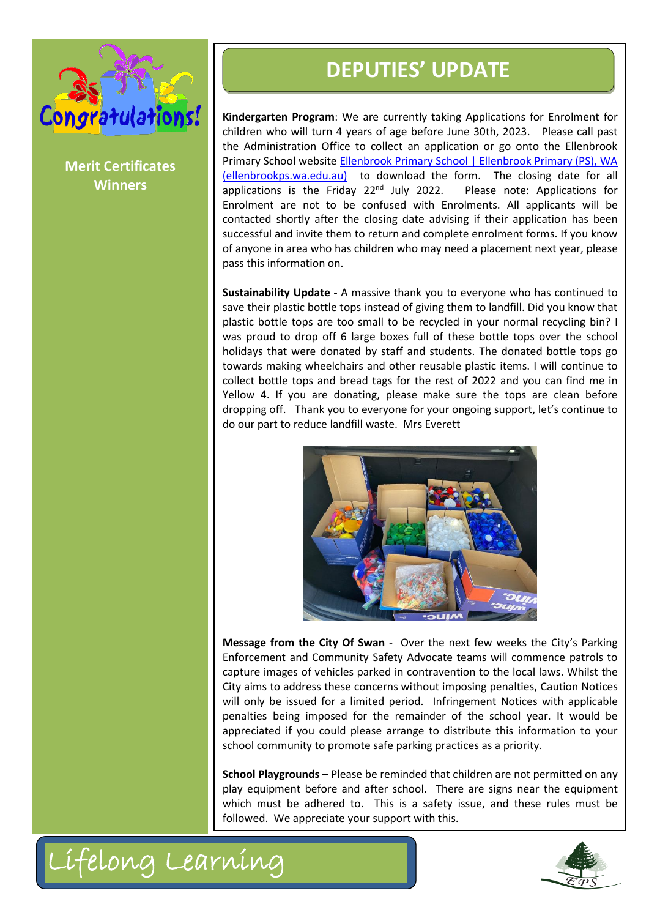

**Merit Certificates Winners**

**DEPUTIES' UPDATE**<br> **CONTRACTER**<br> **CONTRACTEST**<br> **CONTRACTEST**<br> **CONTRACTEST**<br> **CONTRACTEST**<br> **CONTRACTEST**<br> **CONTRACTEST**<br> **CONTRACTEST**<br> **CONTRACTEST**<br> **CONTRACTEST**<br> **CONTRACTEST**<br> **CONTRACTEST**<br> **CONTRACTEST**<br> **CONTRAC Kindergarten Program**: We are currently taking Applications for Enrolment for children who will turn 4 years of age before June 30th, 2023. Please call past the Administration Office to collect an application or go onto the Ellenbrook Primary School website **Ellenbrook Primary School | Ellenbrook Primary (PS), WA** [\(ellenbrookps.wa.edu.au\)](https://www.ellenbrookps.wa.edu.au/) to download the form. The closing date for all applications is the Friday  $22<sup>nd</sup>$  July 2022. Please note: Applications for Enrolment are not to be confused with Enrolments. All applicants will be contacted shortly after the closing date advising if their application has been successful and invite them to return and complete enrolment forms. If you know of anyone in area who has children who may need a placement next year, please pass this information on.

**Sustainability Update -** A massive thank you to everyone who has continued to save their plastic bottle tops instead of giving them to landfill. Did you know that plastic bottle tops are too small to be recycled in your normal recycling bin? I was proud to drop off 6 large boxes full of these bottle tops over the school holidays that were donated by staff and students. The donated bottle tops go towards making wheelchairs and other reusable plastic items. I will continue to collect bottle tops and bread tags for the rest of 2022 and you can find me in Yellow 4. If you are donating, please make sure the tops are clean before dropping off. Thank you to everyone for your ongoing support, let's continue to do our part to reduce landfill waste. Mrs Everett



**Message from the City Of Swan** - Over the next few weeks the City's Parking Enforcement and Community Safety Advocate teams will commence patrols to capture images of vehicles parked in contravention to the local laws. Whilst the City aims to address these concerns without imposing penalties, Caution Notices will only be issued for a limited period. Infringement Notices with applicable penalties being imposed for the remainder of the school year. It would be appreciated if you could please arrange to distribute this information to your school community to promote safe parking practices as a priority.

**School Playgrounds** – Please be reminded that children are not permitted on any play equipment before and after school. There are signs near the equipment which must be adhered to. This is a safety issue, and these rules must be followed. We appreciate your support with this.



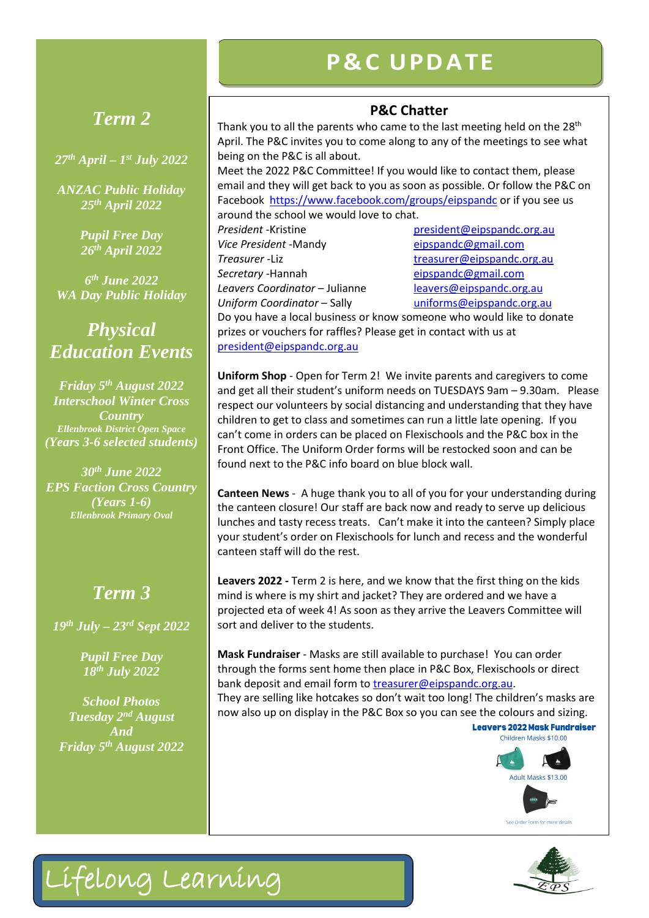## **P& C U PD ATE**

# **Phone** *Term 2*

*27th April – 1 st July 2022*

*ANZAC Public Holiday 25th April 2022*

> *Pupil Free Day 26th April 2022*

*6 th June 2022 WA Day Public Holiday*

*Physical Education Events*

*Friday 5th August 2022 Interschool Winter Cross Country Ellenbrook District Open Space (Years 3-6 selected students)*

*30th June 2022 EPS Faction Cross Country (Years 1-6) Ellenbrook Primary Oval*

## *Term 3*

*19th July – 23rd Sept 2022*

*Pupil Free Day 18th July 2022*

*School Photos Tuesday 2nd August And Friday 5th August 2022*

Lifelong Learning

### **P&C Chatter**

Thank you to all the parents who came to the last meeting held on the 28<sup>th</sup> April. The P&C invites you to come along to any of the meetings to see what being on the P&C is all about.

Meet the 2022 P&C Committee! If you would like to contact them, please email and they will get back to you as soon as possible. Or follow the P&C on Facebook<https://www.facebook.com/groups/eipspandc> or if you see us around the school we would love to chat.

**President** -Kristine **president** president **president** corg.au *Vice President* -Mandy [eipspandc@gmail.com](mailto:eipspandc@gmail.com) **Treasurer** -Liz [treasurer@eipspandc.org.au](mailto:treasurer@eipspandc.org.au) **Secretary** -Hannah [eipspandc@gmail.com](mailto:eipspandc@gmail.com) *Leavers Coordinator* – Julianne [leavers@eipspandc.org.au](mailto:leavers@eipspandc.org.au) *Uniform Coordinator* – Sally [uniforms@eipspandc.org.au](mailto:uniforms@eipspandc.org.au)

Do you have a local business or know someone who would like to donate prizes or vouchers for raffles? Please get in contact with us at [president@eipspandc.org.au](mailto:president@eipspandc.org.au)

**Uniform Shop** - Open for Term 2! We invite parents and caregivers to come and get all their student's uniform needs on TUESDAYS 9am – 9.30am. Please respect our volunteers by social distancing and understanding that they have children to get to class and sometimes can run a little late opening. If you can't come in orders can be placed on Flexischools and the P&C box in the Front Office. The Uniform Order forms will be restocked soon and can be found next to the P&C info board on blue block wall.

**Canteen News** - A huge thank you to all of you for your understanding during the canteen closure! Our staff are back now and ready to serve up delicious lunches and tasty recess treats. Can't make it into the canteen? Simply place your student's order on Flexischools for lunch and recess and the wonderful canteen staff will do the rest.

**Leavers 2022 -** Term 2 is here, and we know that the first thing on the kids mind is where is my shirt and jacket? They are ordered and we have a projected eta of week 4! As soon as they arrive the Leavers Committee will sort and deliver to the students.

**Mask Fundraiser** - Masks are still available to purchase! You can order through the forms sent home then place in P&C Box, Flexischools or direct bank deposit and email form to [treasurer@eipspandc.org.au.](mailto:treasurer@eipspandc.org.au) They are selling like hotcakes so don't wait too long! The children's masks are now also up on display in the P&C Box so you can see the colours and sizing.<br>Legyers 2022 Mask Fundraiser

> Children Masks \$10.00 Adult Masks \$13.00 See Order Form for more details